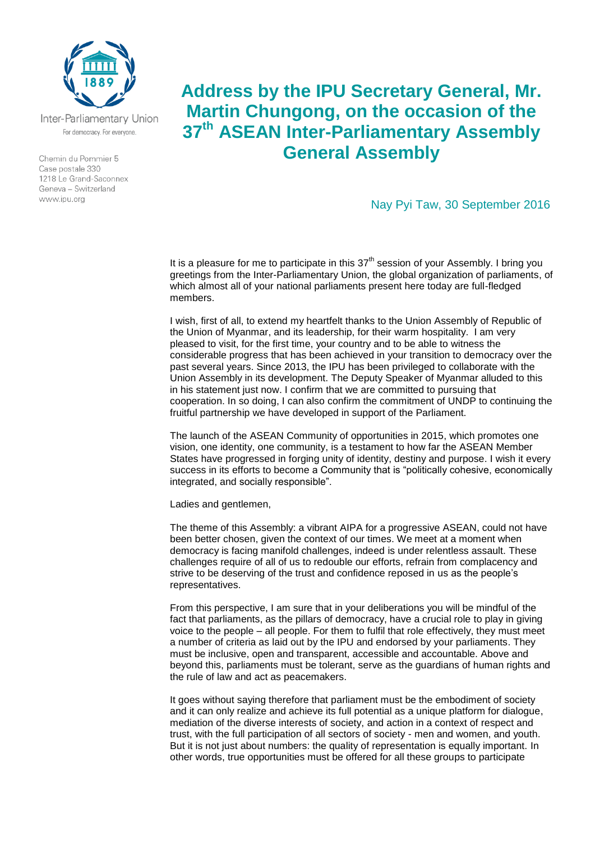

Inter-Parliamentary Union For democracy. For everyone.

Chemin du Pommier 5 Case postale 330 1218 Le Grand-Saconnex Geneva - Switzerland www.ipu.org

## **Address by the IPU Secretary General, Mr. Martin Chungong, on the occasion of the 37th ASEAN Inter-Parliamentary Assembly General Assembly**

Nay Pyi Taw, 30 September 2016

It is a pleasure for me to participate in this  $37<sup>th</sup>$  session of your Assembly. I bring you greetings from the Inter-Parliamentary Union, the global organization of parliaments, of which almost all of your national parliaments present here today are full-fledged members.

I wish, first of all, to extend my heartfelt thanks to the Union Assembly of Republic of the Union of Myanmar, and its leadership, for their warm hospitality. I am very pleased to visit, for the first time, your country and to be able to witness the considerable progress that has been achieved in your transition to democracy over the past several years. Since 2013, the IPU has been privileged to collaborate with the Union Assembly in its development. The Deputy Speaker of Myanmar alluded to this in his statement just now. I confirm that we are committed to pursuing that cooperation. In so doing, I can also confirm the commitment of UNDP to continuing the fruitful partnership we have developed in support of the Parliament.

The launch of the ASEAN Community of opportunities in 2015, which promotes one vision, one identity, one community, is a testament to how far the ASEAN Member States have progressed in forging unity of identity, destiny and purpose. I wish it every success in its efforts to become a Community that is "politically cohesive, economically integrated, and socially responsible".

Ladies and gentlemen,

The theme of this Assembly: a vibrant AIPA for a progressive ASEAN, could not have been better chosen, given the context of our times. We meet at a moment when democracy is facing manifold challenges, indeed is under relentless assault. These challenges require of all of us to redouble our efforts, refrain from complacency and strive to be deserving of the trust and confidence reposed in us as the people's representatives.

From this perspective, I am sure that in your deliberations you will be mindful of the fact that parliaments, as the pillars of democracy, have a crucial role to play in giving voice to the people – all people. For them to fulfil that role effectively, they must meet a number of criteria as laid out by the IPU and endorsed by your parliaments. They must be inclusive, open and transparent, accessible and accountable. Above and beyond this, parliaments must be tolerant, serve as the guardians of human rights and the rule of law and act as peacemakers.

It goes without saying therefore that parliament must be the embodiment of society and it can only realize and achieve its full potential as a unique platform for dialogue, mediation of the diverse interests of society, and action in a context of respect and trust, with the full participation of all sectors of society - men and women, and youth. But it is not just about numbers: the quality of representation is equally important. In other words, true opportunities must be offered for all these groups to participate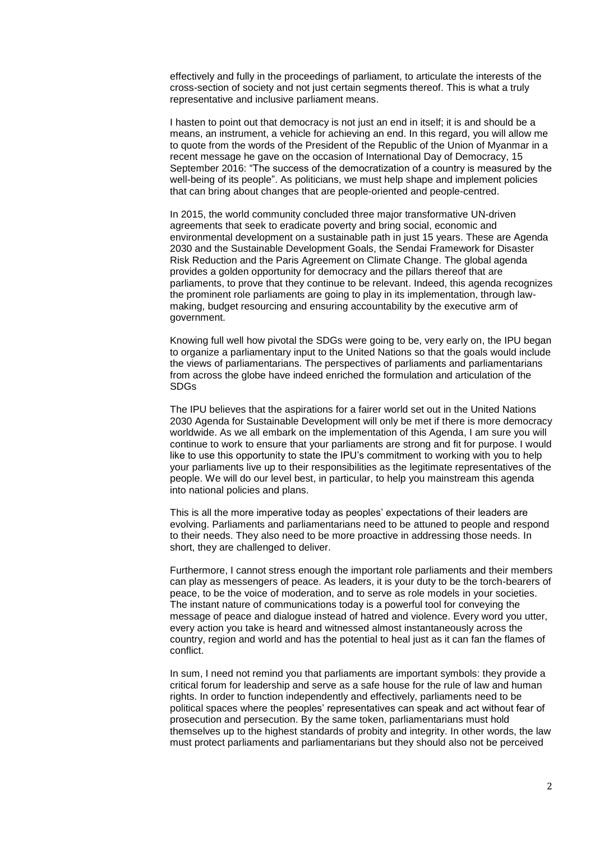effectively and fully in the proceedings of parliament, to articulate the interests of the cross-section of society and not just certain segments thereof. This is what a truly representative and inclusive parliament means.

I hasten to point out that democracy is not just an end in itself; it is and should be a means, an instrument, a vehicle for achieving an end. In this regard, you will allow me to quote from the words of the President of the Republic of the Union of Myanmar in a recent message he gave on the occasion of International Day of Democracy, 15 September 2016: "The success of the democratization of a country is measured by the well-being of its people". As politicians, we must help shape and implement policies that can bring about changes that are people-oriented and people-centred.

In 2015, the world community concluded three major transformative UN-driven agreements that seek to eradicate poverty and bring social, economic and environmental development on a sustainable path in just 15 years. These are Agenda 2030 and the Sustainable Development Goals, the Sendai Framework for Disaster Risk Reduction and the Paris Agreement on Climate Change. The global agenda provides a golden opportunity for democracy and the pillars thereof that are parliaments, to prove that they continue to be relevant. Indeed, this agenda recognizes the prominent role parliaments are going to play in its implementation, through lawmaking, budget resourcing and ensuring accountability by the executive arm of government.

Knowing full well how pivotal the SDGs were going to be, very early on, the IPU began to organize a parliamentary input to the United Nations so that the goals would include the views of parliamentarians. The perspectives of parliaments and parliamentarians from across the globe have indeed enriched the formulation and articulation of the SDGs

The IPU believes that the aspirations for a fairer world set out in the United Nations 2030 Agenda for Sustainable Development will only be met if there is more democracy worldwide. As we all embark on the implementation of this Agenda, I am sure you will continue to work to ensure that your parliaments are strong and fit for purpose. I would like to use this opportunity to state the IPU's commitment to working with you to help your parliaments live up to their responsibilities as the legitimate representatives of the people. We will do our level best, in particular, to help you mainstream this agenda into national policies and plans.

This is all the more imperative today as peoples' expectations of their leaders are evolving. Parliaments and parliamentarians need to be attuned to people and respond to their needs. They also need to be more proactive in addressing those needs. In short, they are challenged to deliver.

Furthermore, I cannot stress enough the important role parliaments and their members can play as messengers of peace. As leaders, it is your duty to be the torch-bearers of peace, to be the voice of moderation, and to serve as role models in your societies. The instant nature of communications today is a powerful tool for conveying the message of peace and dialogue instead of hatred and violence. Every word you utter, every action you take is heard and witnessed almost instantaneously across the country, region and world and has the potential to heal just as it can fan the flames of conflict.

In sum, I need not remind you that parliaments are important symbols: they provide a critical forum for leadership and serve as a safe house for the rule of law and human rights. In order to function independently and effectively, parliaments need to be political spaces where the peoples' representatives can speak and act without fear of prosecution and persecution. By the same token, parliamentarians must hold themselves up to the highest standards of probity and integrity. In other words, the law must protect parliaments and parliamentarians but they should also not be perceived